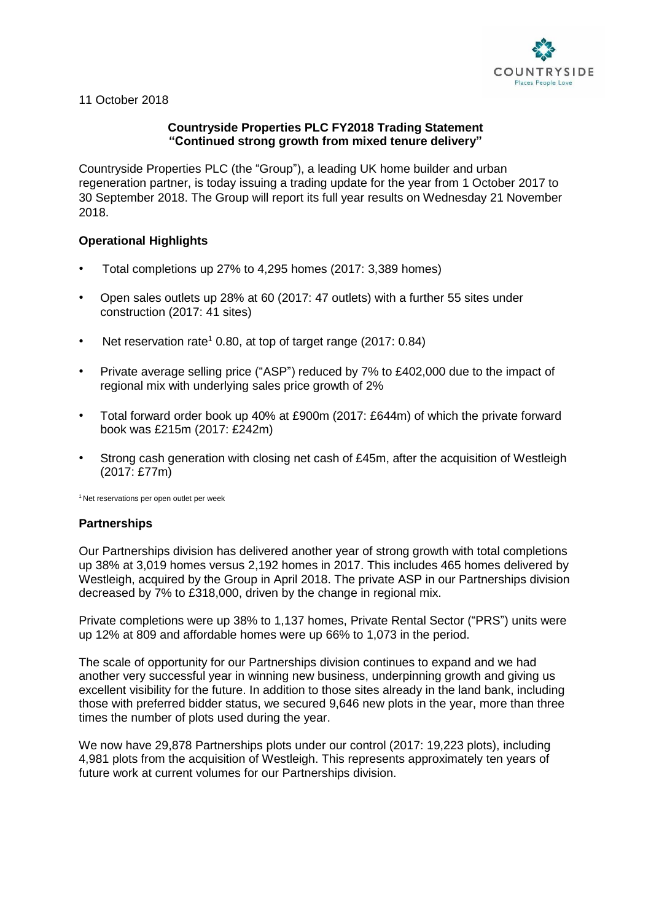

11 October 2018

# **Countryside Properties PLC FY2018 Trading Statement "Continued strong growth from mixed tenure delivery"**

Countryside Properties PLC (the "Group"), a leading UK home builder and urban regeneration partner, is today issuing a trading update for the year from 1 October 2017 to 30 September 2018. The Group will report its full year results on Wednesday 21 November 2018.

# **Operational Highlights**

- Total completions up 27% to 4,295 homes (2017: 3,389 homes)
- Open sales outlets up 28% at 60 (2017: 47 outlets) with a further 55 sites under construction (2017: 41 sites)
- Net reservation rate<sup>1</sup> 0.80, at top of target range (2017: 0.84)
- Private average selling price ("ASP") reduced by 7% to £402,000 due to the impact of regional mix with underlying sales price growth of 2%
- Total forward order book up 40% at £900m (2017: £644m) of which the private forward book was £215m (2017: £242m)
- Strong cash generation with closing net cash of £45m, after the acquisition of Westleigh (2017: £77m)

<sup>1</sup> Net reservations per open outlet per week

# **Partnerships**

Our Partnerships division has delivered another year of strong growth with total completions up 38% at 3,019 homes versus 2,192 homes in 2017. This includes 465 homes delivered by Westleigh, acquired by the Group in April 2018. The private ASP in our Partnerships division decreased by 7% to £318,000, driven by the change in regional mix.

Private completions were up 38% to 1,137 homes, Private Rental Sector ("PRS") units were up 12% at 809 and affordable homes were up 66% to 1,073 in the period.

The scale of opportunity for our Partnerships division continues to expand and we had another very successful year in winning new business, underpinning growth and giving us excellent visibility for the future. In addition to those sites already in the land bank, including those with preferred bidder status, we secured 9,646 new plots in the year, more than three times the number of plots used during the year.

We now have 29,878 Partnerships plots under our control (2017: 19,223 plots), including 4,981 plots from the acquisition of Westleigh. This represents approximately ten years of future work at current volumes for our Partnerships division.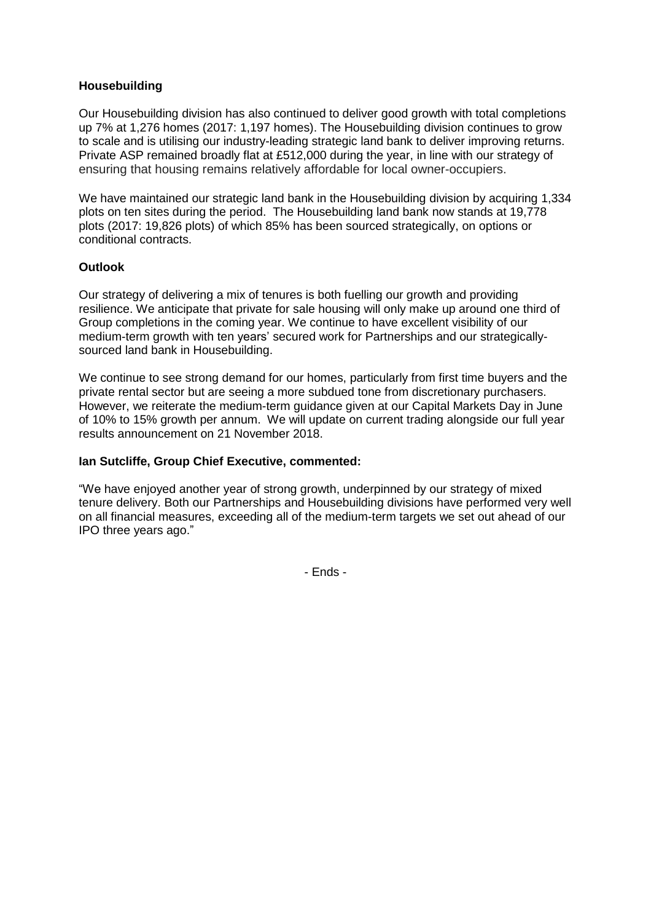# **Housebuilding**

Our Housebuilding division has also continued to deliver good growth with total completions up 7% at 1,276 homes (2017: 1,197 homes). The Housebuilding division continues to grow to scale and is utilising our industry-leading strategic land bank to deliver improving returns. Private ASP remained broadly flat at £512,000 during the year, in line with our strategy of ensuring that housing remains relatively affordable for local owner-occupiers.

We have maintained our strategic land bank in the Housebuilding division by acquiring 1,334 plots on ten sites during the period. The Housebuilding land bank now stands at 19,778 plots (2017: 19,826 plots) of which 85% has been sourced strategically, on options or conditional contracts.

#### **Outlook**

Our strategy of delivering a mix of tenures is both fuelling our growth and providing resilience. We anticipate that private for sale housing will only make up around one third of Group completions in the coming year. We continue to have excellent visibility of our medium-term growth with ten years' secured work for Partnerships and our strategicallysourced land bank in Housebuilding.

We continue to see strong demand for our homes, particularly from first time buyers and the private rental sector but are seeing a more subdued tone from discretionary purchasers. However, we reiterate the medium-term guidance given at our Capital Markets Day in June of 10% to 15% growth per annum. We will update on current trading alongside our full year results announcement on 21 November 2018.

#### **Ian Sutcliffe, Group Chief Executive, commented:**

"We have enjoyed another year of strong growth, underpinned by our strategy of mixed tenure delivery. Both our Partnerships and Housebuilding divisions have performed very well on all financial measures, exceeding all of the medium-term targets we set out ahead of our IPO three years ago."

- Ends -